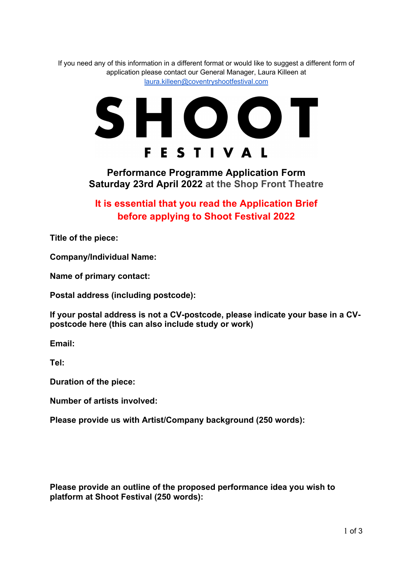If you need any of this information in a different format or would like to suggest a different form of application please contact our General Manager, Laura Killeen at laura.killeen@coventryshootfestival.com



**Performance Programme Application Form Saturday 23rd April 2022 at the Shop Front Theatre** 

**It is essential that you read the Application Brief before applying to Shoot Festival 2022**

**Title of the piece:** 

**Company/Individual Name:** 

**Name of primary contact:** 

**Postal address (including postcode):** 

**If your postal address is not a CV-postcode, please indicate your base in a CVpostcode here (this can also include study or work)**

**Email:** 

**Tel:** 

**Duration of the piece:** 

**Number of artists involved:**

**Please provide us with Artist/Company background (250 words):** 

**Please provide an outline of the proposed performance idea you wish to platform at Shoot Festival (250 words):**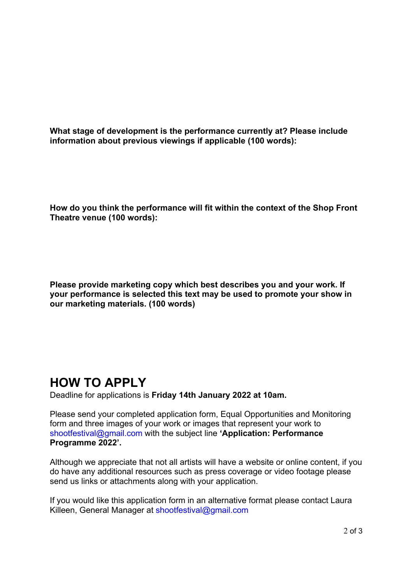**What stage of development is the performance currently at? Please include information about previous viewings if applicable (100 words):**

**How do you think the performance will fit within the context of the Shop Front Theatre venue (100 words):**

**Please provide marketing copy which best describes you and your work. If your performance is selected this text may be used to promote your show in our marketing materials. (100 words)**

## **HOW TO APPLY**

Deadline for applications is **Friday 14th January 2022 at 10am.**

Please send your completed application form, Equal Opportunities and Monitoring form and three images of your work or images that represent your work to shootfestival@gmail.com with the subject line **'Application: Performance Programme 2022'.** 

Although we appreciate that not all artists will have a website or online content, if you do have any additional resources such as press coverage or video footage please send us links or attachments along with your application.

If you would like this application form in an alternative format please contact Laura Killeen, General Manager at shootfestival@gmail.com